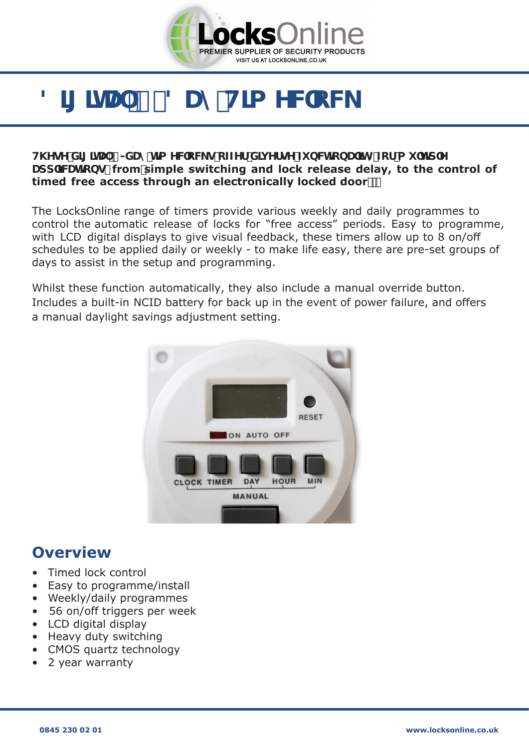

# 8][ ]HJ +! 8UmH]a YWCW

#### **H\YqYXII IHJ +-XUmhla YWcWgcZYfXIi YfqYZ bVMcbU ImZcfai `hld`Y** Udd'JWhicbo from simple switching and lock release delay, to the control of **timed free access through an electronically locked door**

The LocksOnline range of timers provide various weekly and daily programmes to control the automatic release of locks for "free access" periods. Easy to programme, with LCD digital displays to give visual feedback, these timers allow up to 8 on/off schedules to be applied daily or weekly - to make life easy, there are pre-set groups of days to assist in the setup and programming.

Whilst these function automatically, they also include a manual override button. Includes a built-in NCID battery for back up in the event of power failure, and offers a manual daylight savings adjustment setting.

#### **Overview**

- Timed lock control
- Easy to programme/install
- Weekly/daily programmes
- 56 on/off triggers per week
- LCD digital display
- Heavy duty switching
- CMOS quartz technology
- 2 year warranty